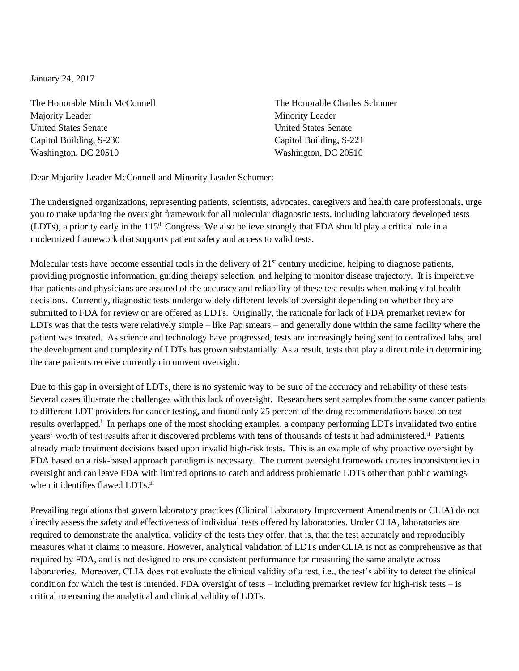January 24, 2017

The Honorable Mitch McConnell The Honorable Charles Schumer Majority Leader **Minority Leader** Minority Leader United States Senate United States Senate Capitol Building, S-230 Capitol Building, S-221 Washington, DC 20510 Washington, DC 20510

Dear Majority Leader McConnell and Minority Leader Schumer:

The undersigned organizations, representing patients, scientists, advocates, caregivers and health care professionals, urge you to make updating the oversight framework for all molecular diagnostic tests, including laboratory developed tests (LDTs), a priority early in the 115<sup>th</sup> Congress. We also believe strongly that FDA should play a critical role in a modernized framework that supports patient safety and access to valid tests.

Molecular tests have become essential tools in the delivery of  $21<sup>st</sup>$  century medicine, helping to diagnose patients, providing prognostic information, guiding therapy selection, and helping to monitor disease trajectory. It is imperative that patients and physicians are assured of the accuracy and reliability of these test results when making vital health decisions. Currently, diagnostic tests undergo widely different levels of oversight depending on whether they are submitted to FDA for review or are offered as LDTs. Originally, the rationale for lack of FDA premarket review for LDTs was that the tests were relatively simple – like Pap smears – and generally done within the same facility where the patient was treated. As science and technology have progressed, tests are increasingly being sent to centralized labs, and the development and complexity of LDTs has grown substantially. As a result, tests that play a direct role in determining the care patients receive currently circumvent oversight.

Due to this gap in oversight of LDTs, there is no systemic way to be sure of the accuracy and reliability of these tests. Several cases illustrate the challenges with this lack of oversight. Researchers sent samples from the same cancer patients to different LDT providers for cancer testing, and found only 25 percent of the drug recommendations based on test results overlapped.<sup>i</sup> In perhaps one of the most shocking examples, a company performing LDTs invalidated two entire years' worth of test results after it discovered problems with tens of thousands of tests it had administered.<sup>ii</sup> Patients already made treatment decisions based upon invalid high-risk tests. This is an example of why proactive oversight by FDA based on a risk-based approach paradigm is necessary. The current oversight framework creates inconsistencies in oversight and can leave FDA with limited options to catch and address problematic LDTs other than public warnings when it identifies flawed LDTs.iii

Prevailing regulations that govern laboratory practices (Clinical Laboratory Improvement Amendments or CLIA) do not directly assess the safety and effectiveness of individual tests offered by laboratories. Under CLIA, laboratories are required to demonstrate the analytical validity of the tests they offer, that is, that the test accurately and reproducibly measures what it claims to measure. However, analytical validation of LDTs under CLIA is not as comprehensive as that required by FDA, and is not designed to ensure consistent performance for measuring the same analyte across laboratories. Moreover, CLIA does not evaluate the clinical validity of a test, i.e., the test's ability to detect the clinical condition for which the test is intended. FDA oversight of tests – including premarket review for high-risk tests – is critical to ensuring the analytical and clinical validity of LDTs.